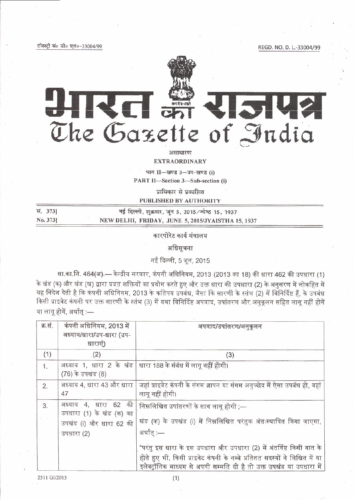रजिस्ट्री सं० डी० एल०-33004/99

REGD. NO. D. L.-33004/99

# आरत इं राजपत्र The Gazette of India

## असाधारण

**EXTRAORDINARY** 

भाग II-खण्ड 3-उप-खण्ड (i)

PART II-Section 3-Sub-section (i)

प्राधिकार से प्रकाशित

# **PUBLISHED BY AUTHORITY**

| स. 373]  | नई दिल्ली, शुक्रवार, जून 5, 2015/ज्येष्ठ 15, 1937 |
|----------|---------------------------------------------------|
| No. 373] | NEW DELHI, FRIDAY, JUNE 5, 2015/JYAISTHA 15, 1937 |

कारपोरेट कार्य मंत्रालय

अधिसूचना

नई दिल्ली, 5 जून, 2015

सा.का.नि. 464(अ).— केन्द्रीय सरकार, कंपनी अधिनियम, 2013 (2013 का 18) की धारा 462 की उपधारा (1) के खंड (क) और खंड (ख) द्वारा प्रदत्त शक्तियों का प्रयोग करते हुए और उक्त धारा की उपधारा (2) के अनुसरण में लोकहित में यह निदेश देती है कि कंपनी अधिनियम, 2013 के कतिपय उपबंध, जैसा कि सारणी के स्तंभ (2) में विनिर्दिष्ट हैं, के उपबंध किसी प्राइवेट कंपनी पर उक्त सारणी के स्तंभ (3) में यथा विनिर्दिष्ट अपवाद, उपांतरण और अनुकूलन सहित लागू नहीं होगें या लागू होगें, अर्थात :-

| क्र.सं. | कंपनी अधिनियम, 2013 में<br>अध्याय/धारा/उप-धारा (उप-<br>धाराएं)                            | अपवाद/उपांतरण/अनुकूलन                                                                                                                                                                                                     |
|---------|-------------------------------------------------------------------------------------------|---------------------------------------------------------------------------------------------------------------------------------------------------------------------------------------------------------------------------|
| (1)     | (2)                                                                                       | (3)                                                                                                                                                                                                                       |
| 1.      | (76) के उपखंड (8)                                                                         | अध्याय 1, धारा 2 के खंड   धारा 188 के संबंध में लागू नहीं होगी।                                                                                                                                                           |
| 2.      | अध्याय 4, धारा 43 और धारा<br>47                                                           | जहां प्राइवेट कंपनी के संगम ज्ञापन या संगम अनुच्छेद में ऐसा उपबंध हो, वहां  <br>लागू नहीं होगी।                                                                                                                           |
| 3.      | अध्याय 4, धारा 62 की<br>उपधारा (1) के खंड (क) का<br>उपखंड (i) और धारा 62 की<br>उपधारा (2) | निम्नलिखित उपांतरणों के साथ लागू होगी ;—<br>खंड (क) के उपखंड (i) में निम्नलिखित परंतुक अंतःस्थापित किया जाएगा,<br>अर्थात् :—                                                                                              |
|         |                                                                                           | "परंतु इस धारा के इस उपधारा और उपधारा (2) में अंतर्विष्ट किसी बात के<br>होते हुए भी, किसी प्राइवेट कंपनी के नब्बे प्रतिशत सदस्यों ने लिखित में या<br>इलेक्ट्रॉनिक माध्यम से अपनी सम्मति दी है तो उक्त उपखंड या उपधारा में |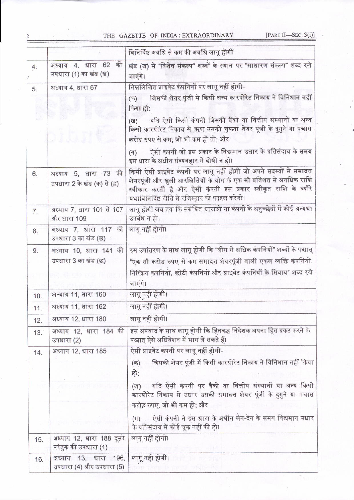# THE GAZETTE OF INDIA: EXTRAORDINARY

[PART II-SEC. 3(i)]

|     |                                                     | विनिर्दिष्ट अवधि से कम की अवधि लागू होगी"                                                                                                                                                                                                                        |
|-----|-----------------------------------------------------|------------------------------------------------------------------------------------------------------------------------------------------------------------------------------------------------------------------------------------------------------------------|
| 4.  | अध्याय 4, धारा 62 की<br>उपधारा (1) का खंड (ख)       | खंड (ख) में "विशेष संकल्प" शब्दों के स्थान पर "साधारण संकल्प" शब्द रखे<br>जाएंगे।                                                                                                                                                                                |
| 5.  | अध्याय 4, धारा 67                                   | निम्नलिखित प्राइवेट कंपनियों पर लागू नहीं होगी-                                                                                                                                                                                                                  |
|     |                                                     | जिसकी शेयर पूंजी में किसी अन्य कारपोरेट निकाय ने विनिधान नहीं<br>$($ क)<br>किया हो;                                                                                                                                                                              |
|     |                                                     | यदि ऐसी किसी कंपनी जिसकी बैंको या वित्तीय संस्थानों या अन्य<br>$(\overline{q})$<br>किसी कारपोरेट निकाय से ऋण उसकी चुकता शेयर पूंजी के दुगुने या पचास<br>करोड़ रुपए से कम, जो भी कम हो तो; और                                                                     |
|     |                                                     | ऐसी कंपनी जो इस प्रकार के विद्यमान उधार के प्रतिसंदाय के समय<br>(TF)<br>इस धारा के अधीन संव्यवहार में दोषी न हो।                                                                                                                                                 |
| 6.  | अध्याय 5, धारा 73 की<br>उपधारा 2 के खंड (क) से (ड़) | किसी ऐसी प्राइवेट कंपनी पर लागू नहीं होगी जो अपने सदस्यों से समादत्त<br>शेयरपूंजी और खुली आरक्षितियों के योग के एक सौ प्रतिशत से अनधिक राशि<br>स्वीकार करती है और ऐसी कंपनी इस प्रकार स्वीकृत राशि के ब्यौरे<br>यथाविनिर्दिष्ट रीति से रजिस्ट्रार को फाइल करेगी। |
| 7.  | अध्याय 7, धारा 101 से 107<br>और धारा 109            | लागू होगी जब तक कि संबंधित धाराओं या कंपनी के अनुच्छेदों में कोई अन्यथा<br>उपबंध न हो।                                                                                                                                                                           |
| 8.  | अध्याय 7, धारा 117 की<br>उपधारा 3 का खंड (छ)        | लागू नहीं होगी।                                                                                                                                                                                                                                                  |
| 9.  | अध्याय 10, धारा 141 की                              | इस उपांतरण के साथ लागू होगी कि "बीस से अधिक कंपनियों" शब्दों के पश्चात्                                                                                                                                                                                          |
|     | उपधारा 3 का खंड (छ)                                 | "एक सौ करोड़ रुपए से कम समादत्त शेयरपूंजी वाली एकल व्यक्ति कंपनियों,                                                                                                                                                                                             |
|     |                                                     | निष्क्रिय कंपनियों, छोटी कंपनियों और प्राइवेट कंपनियों के सिवाय" शब्द रखे<br>जाएंगे।                                                                                                                                                                             |
| 10. | अध्याय 11, धारा 160                                 | लागू नहीं होगी।                                                                                                                                                                                                                                                  |
| 11. | अध्याय 11, धारा 162                                 | लागू नहीं होगी।                                                                                                                                                                                                                                                  |
| 12. | अध्याय 12, धारा 180                                 | लागू नहीं होगी।                                                                                                                                                                                                                                                  |
| 13. | अध्याय 12, धारा 184 की<br>उपधारा (2)                | इस अपवाद के साथ लागू होगी कि हितबद्ध निदेशक अपना हित प्रकट करने के<br>पश्चात् ऐसे अधिवेशन में भाग ले सकते हैं।                                                                                                                                                   |
| 14. | अध्याय 12, धारा 185                                 | ऐसी प्राइवेट कंपनी पर लागू नहीं होगी-                                                                                                                                                                                                                            |
|     |                                                     | जिसकी शेयर पूंजी में किसी कारपोरेट निकाय ने विनिधान नहीं किया<br>$($ क)<br>हो;                                                                                                                                                                                   |
|     |                                                     | यदि ऐसी कंपनी पर बैंको या वित्तीय संस्थानों या अन्य किसी<br>(ख)<br>कारपोरेट निकाय से उधार उसकी समादत्त शेयर पूंजी के दुगुने या पचास<br>करोड़ रुपए, जो भी कम हो; और                                                                                               |
|     |                                                     | ऐसी कंपनी ने इस धारा के अधीन लेन-देन के समय विद्यमान उधार<br>$(\exists T)$<br>के प्रतिसंदाय में कोई चूक नहीं की हो।                                                                                                                                              |
| 15. | अध्याय 12, धारा 188 दूसरे<br>परंतुक की उपधारा (1)   | लागू नहीं होगी।                                                                                                                                                                                                                                                  |
| 16. | अध्याय 13, धारा 196,<br>उपधारा (4) और उपधारा (5)    | लागू नहीं होगी।                                                                                                                                                                                                                                                  |

 $\overline{c}$